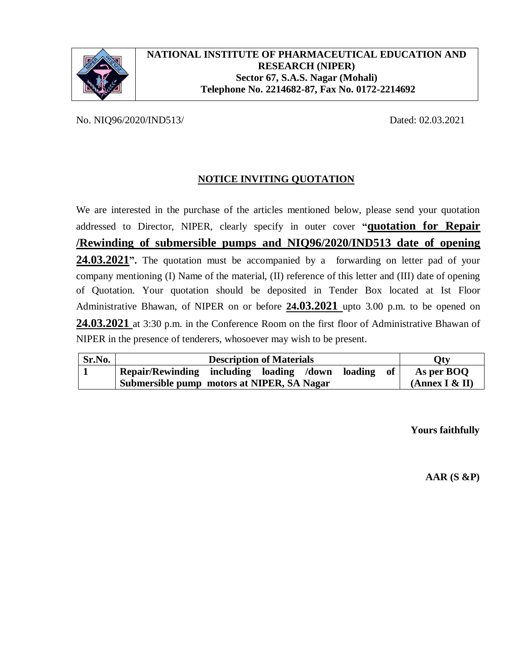

No. NIQ96/2020/IND513/ Dated: 02.03.2021

# **NOTICE INVITING QUOTATION**

We are interested in the purchase of the articles mentioned below, please send your quotation addressed to Director, NIPER, clearly specify in outer cover **"quotation for Repair /Rewinding of submersible pumps and NIQ96/2020/IND513 date of opening**  24.03.2021<sup>"</sup>. The quotation must be accompanied by a forwarding on letter pad of your company mentioning (I) Name of the material, (II) reference of this letter and (III) date of opening of Quotation. Your quotation should be deposited in Tender Box located at Ist Floor Administrative Bhawan, of NIPER on or before **24.03.2021** upto 3.00 p.m. to be opened on **24.03.2021** at 3:30 p.m. in the Conference Room on the first floor of Administrative Bhawan of NIPER in the presence of tenderers, whosoever may wish to be present.

| Sr.No. | <b>Description of Materials</b>                  |  |  | Oty            |  |      |            |
|--------|--------------------------------------------------|--|--|----------------|--|------|------------|
|        | Repair/Rewinding including loading /down loading |  |  |                |  | of 1 | As per BOO |
|        | Submersible pump motors at NIPER, SA Nagar       |  |  | (Annex I & II) |  |      |            |

**Yours faithfully**

**AAR (S &P)**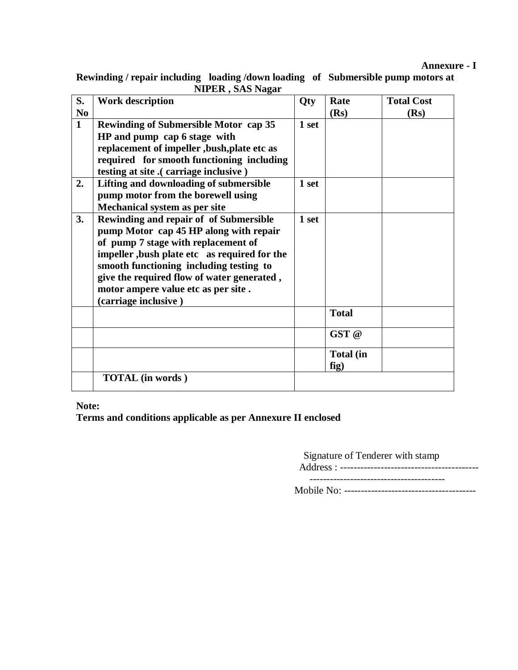## **Annexure - I**

**Rewinding / repair including loading /down loading of Submersible pump motors at NIPER , SAS Nagar** 

| S.             | <b>Work description</b>                                                                                                                                                                                                                                                                                                         | Qty   | Rate              | <b>Total Cost</b> |
|----------------|---------------------------------------------------------------------------------------------------------------------------------------------------------------------------------------------------------------------------------------------------------------------------------------------------------------------------------|-------|-------------------|-------------------|
| N <sub>0</sub> |                                                                                                                                                                                                                                                                                                                                 |       | (Rs)              | (Rs)              |
| $\mathbf{1}$   | <b>Rewinding of Submersible Motor cap 35</b><br>HP and pump cap 6 stage with<br>replacement of impeller, bush, plate etc as<br>required for smooth functioning including<br>testing at site .( carriage inclusive )                                                                                                             | 1 set |                   |                   |
| 2.             | Lifting and downloading of submersible<br>pump motor from the borewell using<br>Mechanical system as per site                                                                                                                                                                                                                   | 1 set |                   |                   |
| 3.             | Rewinding and repair of of Submersible<br>pump Motor cap 45 HP along with repair<br>of pump 7 stage with replacement of<br>impeller, bush plate etc as required for the<br>smooth functioning including testing to<br>give the required flow of water generated,<br>motor ampere value etc as per site.<br>(carriage inclusive) | 1 set |                   |                   |
|                |                                                                                                                                                                                                                                                                                                                                 |       | <b>Total</b>      |                   |
|                |                                                                                                                                                                                                                                                                                                                                 |       | GST @             |                   |
|                |                                                                                                                                                                                                                                                                                                                                 |       | Total (in<br>fig) |                   |
|                | <b>TOTAL</b> (in words)                                                                                                                                                                                                                                                                                                         |       |                   |                   |

## **Note:**

**Terms and conditions applicable as per Annexure II enclosed** 

Signature of Tenderer with stamp

Address : ----------------------------------------- ----------------------------------------

Mobile No: ---------------------------------------